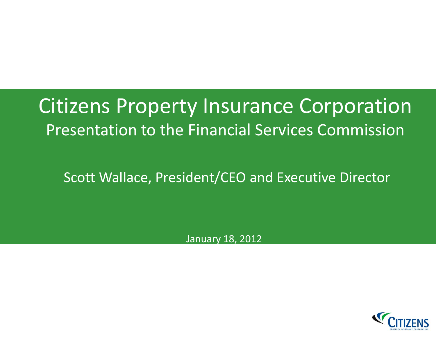# Citizens Property Insurance Corporation Presentation to the Financial Services Commission

Scott Wallace, President/CEO and Executive Director

January 18, 2012

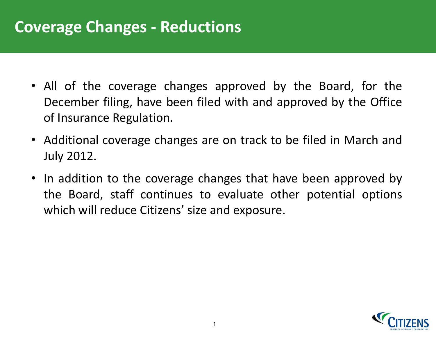### **Coverage Changes - Reductions**

- All of the coverage changes approved by the Board, for the December filing, have been filed with and approved by the Office of Insurance Regulation.
- Additional coverage changes are on track to be filed in March and July 2012.
- In addition to the coverage changes that have been approved by the Board, staff continues to evaluate other potential options which will reduce Citizens' size and exposure.

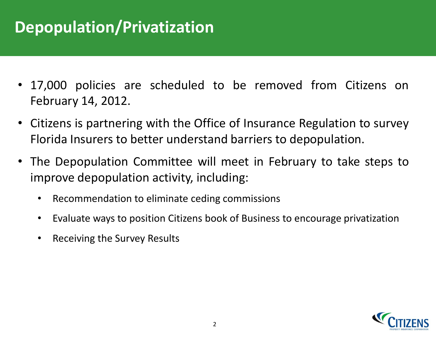# **Depopulation/Privatization**

- 17,000 policies are scheduled to be removed from Citizens on February 14, 2012.
- Citizens is partnering with the Office of Insurance Regulation to survey Florida Insurers to better understand barriers to depopulation.
- The Depopulation Committee will meet in February to take steps to improve depopulation activity, including:
	- Recommendation to eliminate ceding commissions
	- Evaluate ways to position Citizens book of Business to encourage privatization
	- Receiving the Survey Results

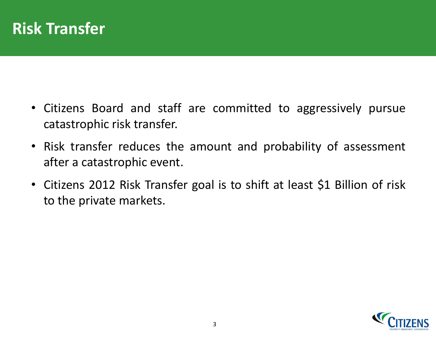### **Risk Transfer**

- Citizens Board and staff are committed to aggressively pursue catastrophic risk transfer.
- Risk transfer reduces the amount and probability of assessment after a catastrophic event.
- Citizens 2012 Risk Transfer goal is to shift at least \$1 Billion of risk to the private markets.

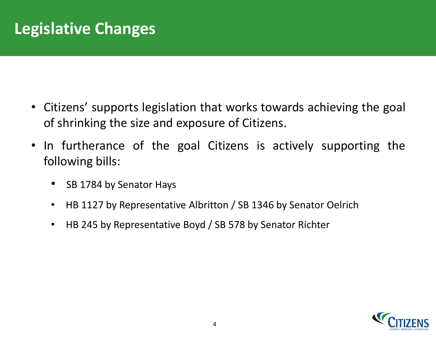## **Legislative Changes**

- Citizens' supports legislation that works towards achieving the goal of shrinking the size and exposure of Citizens.
- In furtherance of the goal Citizens is actively supporting the following bills:
	- SB 1784 by Senator Hays
	- HB 1127 by Representative Albritton / SB 1346 by Senator Oelrich
	- HB 245 by Representative Boyd / SB 578 by Senator Richter